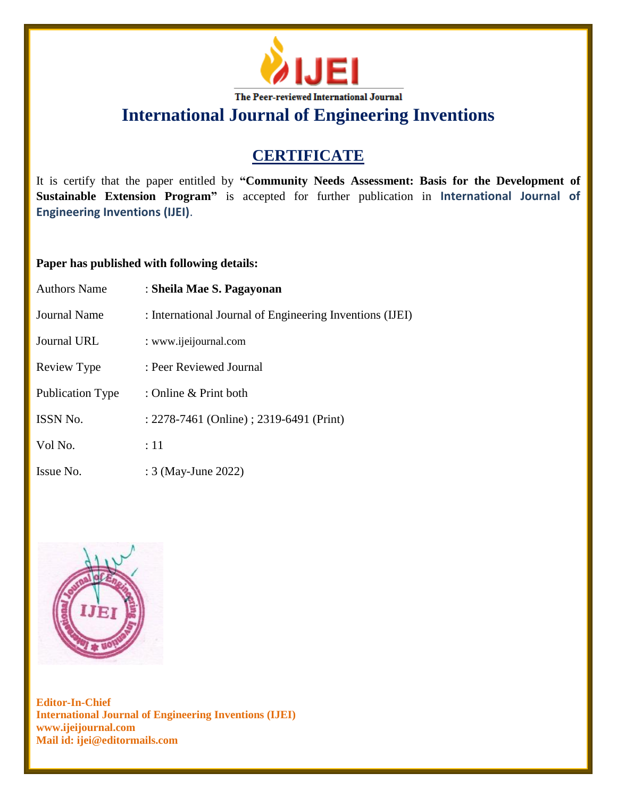

**International Journal of Engineering Inventions**

# **CERTIFICATE**

It is certify that the paper entitled by **"Community Needs Assessment: Basis for the Development of Sustainable Extension Program"** is accepted for further publication in **International Journal of Engineering Inventions (IJEI)**.

## **Paper has published with following details:**

| <b>Authors Name</b>     | : Sheila Mae S. Pagayonan                                |
|-------------------------|----------------------------------------------------------|
| <b>Journal Name</b>     | : International Journal of Engineering Inventions (IJEI) |
| Journal URL             | : www.ijeijournal.com                                    |
| Review Type             | : Peer Reviewed Journal                                  |
| <b>Publication Type</b> | : Online & Print both                                    |
| <b>ISSN No.</b>         | : 2278-7461 (Online) ; 2319-6491 (Print)                 |
| Vol No.                 | :11                                                      |
| Issue No.               | : 3 (May-June 2022)                                      |



**Editor-In-Chief International Journal of Engineering Inventions (IJEI) www.ijeijournal.com Mail id: ijei@editormails.com**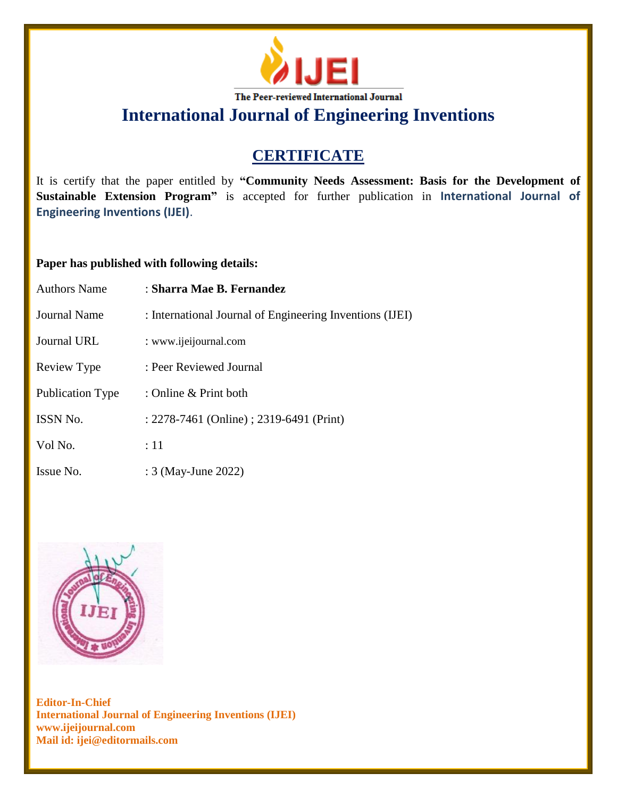

**International Journal of Engineering Inventions**

# **CERTIFICATE**

It is certify that the paper entitled by **"Community Needs Assessment: Basis for the Development of Sustainable Extension Program"** is accepted for further publication in **International Journal of Engineering Inventions (IJEI)**.

## **Paper has published with following details:**

| <b>Authors Name</b>     | : Sharra Mae B. Fernandez                                |
|-------------------------|----------------------------------------------------------|
| Journal Name            | : International Journal of Engineering Inventions (IJEI) |
| Journal URL             | : www.ijeijournal.com                                    |
| Review Type             | : Peer Reviewed Journal                                  |
| <b>Publication Type</b> | : Online $\&$ Print both                                 |
| ISSN No.                | : 2278-7461 (Online) ; 2319-6491 (Print)                 |
| Vol No.                 | :11                                                      |
| Issue No.               | : 3 (May-June 2022)                                      |



**Editor-In-Chief International Journal of Engineering Inventions (IJEI) www.ijeijournal.com Mail id: ijei@editormails.com**